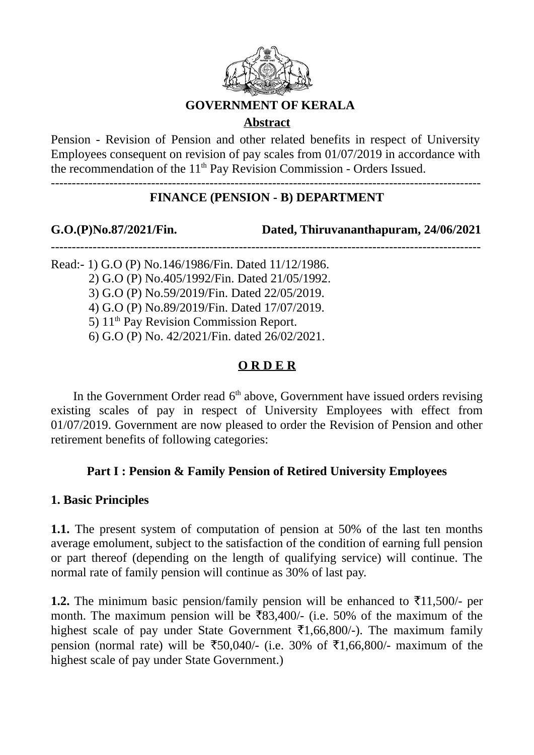

### **GOVERNMENT OF KERALA**

# **Abstract**

Pension - Revision of Pension and other related benefits in respect of University Employees consequent on revision of pay scales from 01/07/2019 in accordance with the recommendation of the  $11<sup>th</sup>$  Pay Revision Commission - Orders Issued.

-------------------------------------------------------------------------------------------------------

# **FINANCE (PENSION - B) DEPARTMENT**

-------------------------------------------------------------------------------------------------------

**G.O.(P)No.87/2021/Fin. Dated, Thiruvananthapuram, 24/06/2021**

Read:- 1) G.O (P) No.146/1986/Fin. Dated 11/12/1986.

2) G.O (P) No.405/1992/Fin. Dated 21/05/1992.

3) G.O (P) No.59/2019/Fin. Dated 22/05/2019.

4) G.O (P) No.89/2019/Fin. Dated 17/07/2019.

5)  $11<sup>th</sup>$  Pay Revision Commission Report.

6) G.O (P) No. 42/2021/Fin. dated 26/02/2021.

# **O R D E R**

In the Government Order read  $6<sup>th</sup>$  above, Government have issued orders revising existing scales of pay in respect of University Employees with effect from 01/07/2019. Government are now pleased to order the Revision of Pension and other retirement benefits of following categories:

# **Part I : Pension & Family Pension of Retired University Employees**

# **1. Basic Principles**

**1.1.** The present system of computation of pension at 50% of the last ten months average emolument, subject to the satisfaction of the condition of earning full pension or part thereof (depending on the length of qualifying service) will continue. The normal rate of family pension will continue as 30% of last pay.

**1.2.** The minimum basic pension/family pension will be enhanced to  $\bar{\tau}$ 11,500/- per month. The maximum pension will be  $\overline{583,400}$  - (i.e. 50% of the maximum of the highest scale of pay under State Government  $\bar{\tau}1,66,800/$ -). The maximum family pension (normal rate) will be ₹50,040/- (i.e. 30% of ₹1,66,800/- maximum of the highest scale of pay under State Government.)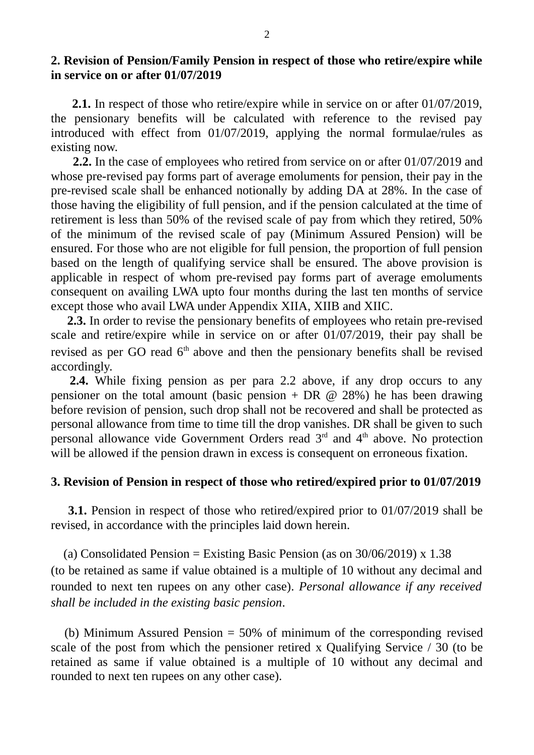### **2. Revision of Pension/Family Pension in respect of those who retire/expire while in service on or after 01/07/2019**

 **2.1.** In respect of those who retire/expire while in service on or after 01/07/2019, the pensionary benefits will be calculated with reference to the revised pay introduced with effect from 01/07/2019, applying the normal formulae/rules as existing now.

 **2.2.** In the case of employees who retired from service on or after 01/07/2019 and whose pre-revised pay forms part of average emoluments for pension, their pay in the pre-revised scale shall be enhanced notionally by adding DA at 28%. In the case of those having the eligibility of full pension, and if the pension calculated at the time of retirement is less than 50% of the revised scale of pay from which they retired, 50% of the minimum of the revised scale of pay (Minimum Assured Pension) will be ensured. For those who are not eligible for full pension, the proportion of full pension based on the length of qualifying service shall be ensured. The above provision is applicable in respect of whom pre-revised pay forms part of average emoluments consequent on availing LWA upto four months during the last ten months of service except those who avail LWA under Appendix XIIA, XIIB and XIIC.

 **2.3.** In order to revise the pensionary benefits of employees who retain pre-revised scale and retire/expire while in service on or after 01/07/2019, their pay shall be revised as per GO read  $6<sup>th</sup>$  above and then the pensionary benefits shall be revised accordingly.

 **2.4.** While fixing pension as per para 2.2 above, if any drop occurs to any pensioner on the total amount (basic pension + DR  $\omega$  28%) he has been drawing before revision of pension, such drop shall not be recovered and shall be protected as personal allowance from time to time till the drop vanishes. DR shall be given to such personal allowance vide Government Orders read  $3<sup>rd</sup>$  and  $4<sup>th</sup>$  above. No protection will be allowed if the pension drawn in excess is consequent on erroneous fixation.

### **3. Revision of Pension in respect of those who retired/expired prior to 01/07/2019**

 **3.1.** Pension in respect of those who retired/expired prior to 01/07/2019 shall be revised, in accordance with the principles laid down herein.

(a) Consolidated Pension = Existing Basic Pension (as on  $30/06/2019$ ) x 1.38 (to be retained as same if value obtained is a multiple of 10 without any decimal and rounded to next ten rupees on any other case). *Personal allowance if any received shall be included in the existing basic pension*.

 (b) Minimum Assured Pension = 50% of minimum of the corresponding revised scale of the post from which the pensioner retired x Qualifying Service / 30 (to be retained as same if value obtained is a multiple of 10 without any decimal and rounded to next ten rupees on any other case).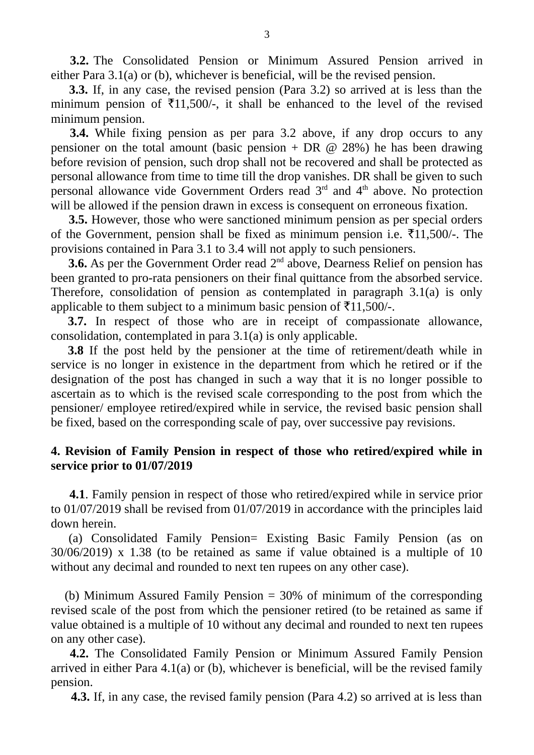**3.2.** The Consolidated Pension or Minimum Assured Pension arrived in either Para 3.1(a) or (b), whichever is beneficial, will be the revised pension.

 **3.3.** If, in any case, the revised pension (Para 3.2) so arrived at is less than the minimum pension of  $\overline{511,500/}$ , it shall be enhanced to the level of the revised minimum pension.

 **3.4.** While fixing pension as per para 3.2 above, if any drop occurs to any pensioner on the total amount (basic pension + DR  $\omega$  28%) he has been drawing before revision of pension, such drop shall not be recovered and shall be protected as personal allowance from time to time till the drop vanishes. DR shall be given to such personal allowance vide Government Orders read  $3<sup>rd</sup>$  and  $4<sup>th</sup>$  above. No protection will be allowed if the pension drawn in excess is consequent on erroneous fixation.

 **3.5.** However, those who were sanctioned minimum pension as per special orders of the Government, pension shall be fixed as minimum pension i.e.  $\text{\textsterling}11,500/-$ . The provisions contained in Para 3.1 to 3.4 will not apply to such pensioners.

**3.6.** As per the Government Order read 2<sup>nd</sup> above, Dearness Relief on pension has been granted to pro-rata pensioners on their final quittance from the absorbed service. Therefore, consolidation of pension as contemplated in paragraph 3.1(a) is only applicable to them subject to a minimum basic pension of  $\bar{\tau}$ 11,500/-.

 **3.7.** In respect of those who are in receipt of compassionate allowance, consolidation, contemplated in para 3.1(a) is only applicable.

 **3.8** If the post held by the pensioner at the time of retirement/death while in service is no longer in existence in the department from which he retired or if the designation of the post has changed in such a way that it is no longer possible to ascertain as to which is the revised scale corresponding to the post from which the pensioner/ employee retired/expired while in service, the revised basic pension shall be fixed, based on the corresponding scale of pay, over successive pay revisions.

# **4. Revision of Family Pension in respect of those who retired/expired while in service prior to 01/07/2019**

 **4.1**. Family pension in respect of those who retired/expired while in service prior to 01/07/2019 shall be revised from 01/07/2019 in accordance with the principles laid down herein.

 (a) Consolidated Family Pension= Existing Basic Family Pension (as on 30/06/2019) x 1.38 (to be retained as same if value obtained is a multiple of 10 without any decimal and rounded to next ten rupees on any other case).

 (b) Minimum Assured Family Pension = 30% of minimum of the corresponding revised scale of the post from which the pensioner retired (to be retained as same if value obtained is a multiple of 10 without any decimal and rounded to next ten rupees on any other case).

 **4.2.** The Consolidated Family Pension or Minimum Assured Family Pension arrived in either Para 4.1(a) or (b), whichever is beneficial, will be the revised family pension.

 **4.3.** If, in any case, the revised family pension (Para 4.2) so arrived at is less than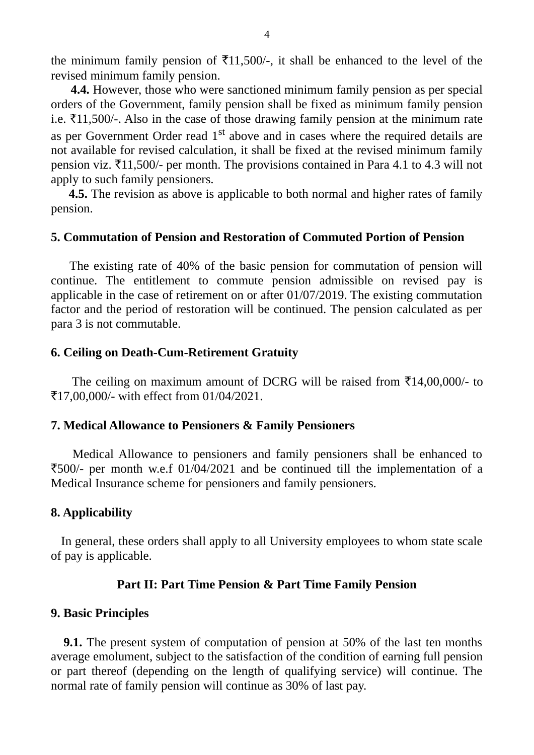the minimum family pension of  $\text{\textsterling}11,500/$ -, it shall be enhanced to the level of the revised minimum family pension.

 **4.4.** However, those who were sanctioned minimum family pension as per special orders of the Government, family pension shall be fixed as minimum family pension i.e.  $\text{\textsterling}11,500/-$ . Also in the case of those drawing family pension at the minimum rate as per Government Order read  $1<sup>st</sup>$  above and in cases where the required details are not available for revised calculation, it shall be fixed at the revised minimum family pension viz.  $\text{\textsterling}11,500/$ - per month. The provisions contained in Para 4.1 to 4.3 will not apply to such family pensioners.

 **4.5.** The revision as above is applicable to both normal and higher rates of family pension.

### **5. Commutation of Pension and Restoration of Commuted Portion of Pension**

 The existing rate of 40% of the basic pension for commutation of pension will continue. The entitlement to commute pension admissible on revised pay is applicable in the case of retirement on or after 01/07/2019. The existing commutation factor and the period of restoration will be continued. The pension calculated as per para 3 is not commutable.

#### **6. Ceiling on Death-Cum-Retirement Gratuity**

The ceiling on maximum amount of DCRG will be raised from  $\bar{\tau}$ 14,00,000/- to `17,00,000/- with effect from 01/04/2021.

#### **7. Medical Allowance to Pensioners & Family Pensioners**

 Medical Allowance to pensioners and family pensioners shall be enhanced to `500/- per month w.e.f 01/04/2021 and be continued till the implementation of a Medical Insurance scheme for pensioners and family pensioners.

#### **8. Applicability**

 In general, these orders shall apply to all University employees to whom state scale of pay is applicable.

#### **Part II: Part Time Pension & Part Time Family Pension**

#### **9. Basic Principles**

**9.1.** The present system of computation of pension at 50% of the last ten months average emolument, subject to the satisfaction of the condition of earning full pension or part thereof (depending on the length of qualifying service) will continue. The normal rate of family pension will continue as 30% of last pay.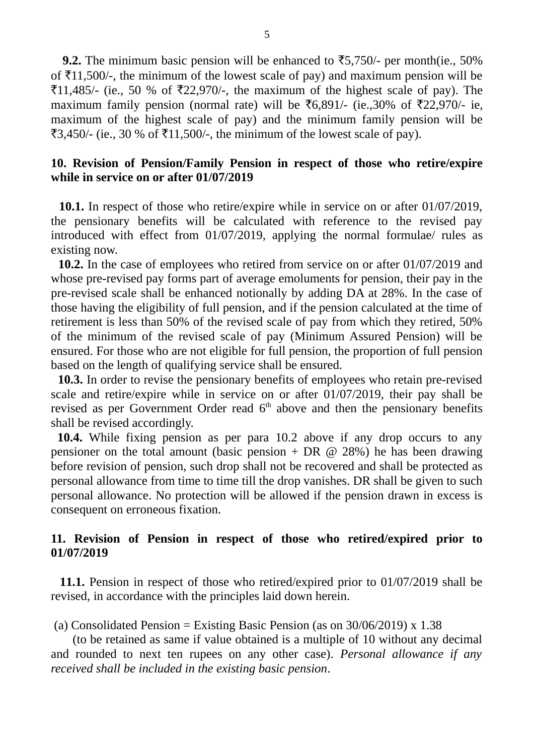**9.2.** The minimum basic pension will be enhanced to  $\overline{5}5,750/$ - per month(ie., 50%) of  $\text{\textsterling}11,500/$ -, the minimum of the lowest scale of pay) and maximum pension will be  $\text{\textsterling}11,485$ /- (ie., 50 % of  $\text{\textsterling}22,970$ /-, the maximum of the highest scale of pay). The maximum family pension (normal rate) will be ₹6,891/- (ie.,30% of ₹22,970/- ie, maximum of the highest scale of pay) and the minimum family pension will be  $\text{\textsterling}3,450/$ - (ie., 30 % of  $\text{\textsterling}11,500/$ -, the minimum of the lowest scale of pay).

## **10. Revision of Pension/Family Pension in respect of those who retire/expire while in service on or after 01/07/2019**

 **10.1.** In respect of those who retire/expire while in service on or after 01/07/2019, the pensionary benefits will be calculated with reference to the revised pay introduced with effect from 01/07/2019, applying the normal formulae/ rules as existing now.

 **10.2.** In the case of employees who retired from service on or after 01/07/2019 and whose pre-revised pay forms part of average emoluments for pension, their pay in the pre-revised scale shall be enhanced notionally by adding DA at 28%. In the case of those having the eligibility of full pension, and if the pension calculated at the time of retirement is less than 50% of the revised scale of pay from which they retired, 50% of the minimum of the revised scale of pay (Minimum Assured Pension) will be ensured. For those who are not eligible for full pension, the proportion of full pension based on the length of qualifying service shall be ensured.

 **10.3.** In order to revise the pensionary benefits of employees who retain pre-revised scale and retire/expire while in service on or after 01/07/2019, their pay shall be revised as per Government Order read  $6<sup>th</sup>$  above and then the pensionary benefits shall be revised accordingly.

 **10.4.** While fixing pension as per para 10.2 above if any drop occurs to any pensioner on the total amount (basic pension + DR  $\omega$  28%) he has been drawing before revision of pension, such drop shall not be recovered and shall be protected as personal allowance from time to time till the drop vanishes. DR shall be given to such personal allowance. No protection will be allowed if the pension drawn in excess is consequent on erroneous fixation.

# **11. Revision of Pension in respect of those who retired/expired prior to 01/07/2019**

 **11.1.** Pension in respect of those who retired/expired prior to 01/07/2019 shall be revised, in accordance with the principles laid down herein.

(a) Consolidated Pension = Existing Basic Pension (as on 30/06/2019) x 1.38

 (to be retained as same if value obtained is a multiple of 10 without any decimal and rounded to next ten rupees on any other case). *Personal allowance if any received shall be included in the existing basic pension*.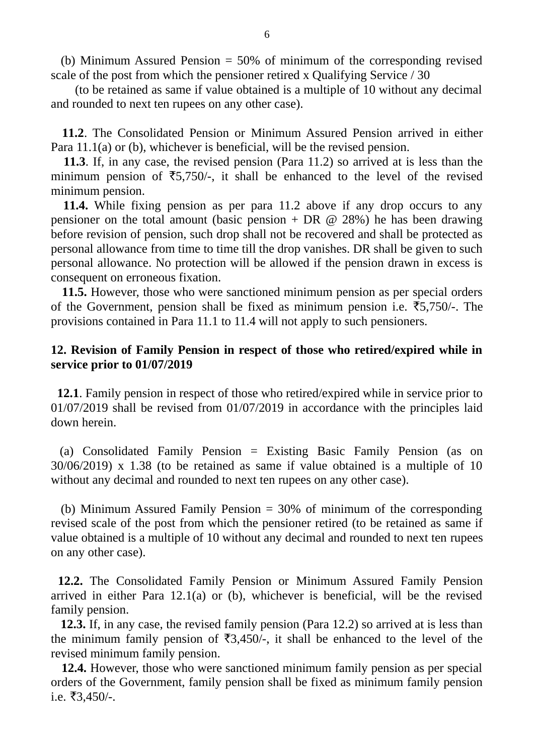(b) Minimum Assured Pension = 50% of minimum of the corresponding revised scale of the post from which the pensioner retired x Qualifying Service / 30

 (to be retained as same if value obtained is a multiple of 10 without any decimal and rounded to next ten rupees on any other case).

 **11.2**. The Consolidated Pension or Minimum Assured Pension arrived in either Para 11.1(a) or (b), whichever is beneficial, will be the revised pension.

 **11.3**. If, in any case, the revised pension (Para 11.2) so arrived at is less than the minimum pension of  $\overline{5}5,750/$ -, it shall be enhanced to the level of the revised minimum pension.

 **11.4.** While fixing pension as per para 11.2 above if any drop occurs to any pensioner on the total amount (basic pension + DR  $\omega$  28%) he has been drawing before revision of pension, such drop shall not be recovered and shall be protected as personal allowance from time to time till the drop vanishes. DR shall be given to such personal allowance. No protection will be allowed if the pension drawn in excess is consequent on erroneous fixation.

 **11.5.** However, those who were sanctioned minimum pension as per special orders of the Government, pension shall be fixed as minimum pension i.e.  $\overline{5}5,750/-$ . The provisions contained in Para 11.1 to 11.4 will not apply to such pensioners.

### **12. Revision of Family Pension in respect of those who retired/expired while in service prior to 01/07/2019**

 **12.1**. Family pension in respect of those who retired/expired while in service prior to 01/07/2019 shall be revised from 01/07/2019 in accordance with the principles laid down herein.

 (a) Consolidated Family Pension = Existing Basic Family Pension (as on 30/06/2019) x 1.38 (to be retained as same if value obtained is a multiple of 10 without any decimal and rounded to next ten rupees on any other case).

 (b) Minimum Assured Family Pension = 30% of minimum of the corresponding revised scale of the post from which the pensioner retired (to be retained as same if value obtained is a multiple of 10 without any decimal and rounded to next ten rupees on any other case).

 **12.2.** The Consolidated Family Pension or Minimum Assured Family Pension arrived in either Para 12.1(a) or (b), whichever is beneficial, will be the revised family pension.

 **12.3.** If, in any case, the revised family pension (Para 12.2) so arrived at is less than the minimum family pension of  $\overline{3,450/}$ , it shall be enhanced to the level of the revised minimum family pension.

 **12.4.** However, those who were sanctioned minimum family pension as per special orders of the Government, family pension shall be fixed as minimum family pension i.e.  $\overline{53,450}/$ -.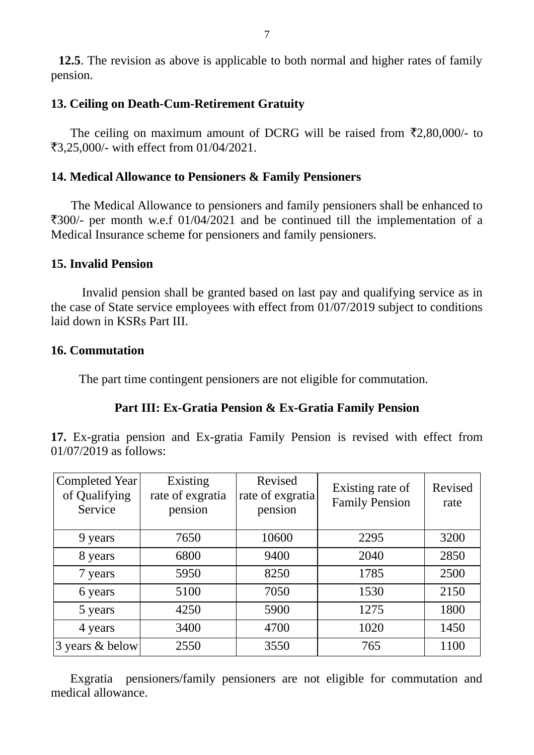# **13. Ceiling on Death-Cum-Retirement Gratuity**

The ceiling on maximum amount of DCRG will be raised from  $\bar{\zeta}2,80,000/4$  to `3,25,000/- with effect from 01/04/2021.

# **14. Medical Allowance to Pensioners & Family Pensioners**

 The Medical Allowance to pensioners and family pensioners shall be enhanced to  $\overline{300}$ /- per month w.e.f 01/04/2021 and be continued till the implementation of a Medical Insurance scheme for pensioners and family pensioners.

# **15. Invalid Pension**

 Invalid pension shall be granted based on last pay and qualifying service as in the case of State service employees with effect from 01/07/2019 subject to conditions laid down in KSRs Part III.

# **16. Commutation**

The part time contingent pensioners are not eligible for commutation.

# **Part III: Ex-Gratia Pension & Ex-Gratia Family Pension**

**17.** Ex-gratia pension and Ex-gratia Family Pension is revised with effect from 01/07/2019 as follows:

| Completed Year<br>of Qualifying<br>Service | <b>Existing</b><br>rate of exgratia<br>pension | Revised<br>rate of exgratia<br>pension | Existing rate of<br><b>Family Pension</b> | Revised<br>rate |
|--------------------------------------------|------------------------------------------------|----------------------------------------|-------------------------------------------|-----------------|
| 9 years                                    | 7650                                           | 10600                                  | 2295                                      | 3200            |
| 8 years                                    | 6800                                           | 9400                                   | 2040                                      | 2850            |
| 7 years                                    | 5950                                           | 8250                                   | 1785                                      | 2500            |
| 6 years                                    | 5100                                           | 7050                                   | 1530                                      | 2150            |
| 5 years                                    | 4250                                           | 5900                                   | 1275                                      | 1800            |
| 4 years                                    | 3400                                           | 4700                                   | 1020                                      | 1450            |
| 3 years & below                            | 2550                                           | 3550                                   | 765                                       | 1100            |

 Exgratia pensioners/family pensioners are not eligible for commutation and medical allowance.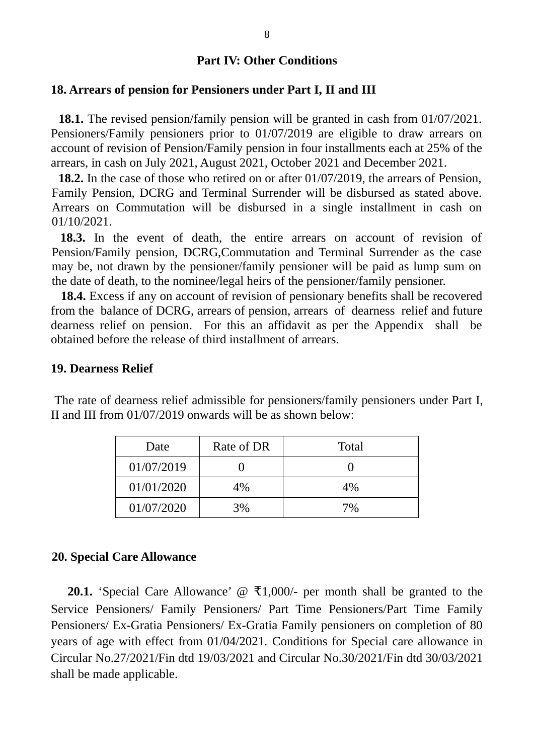### **18. Arrears of pension for Pensioners under Part I, II and III**

 **18.1.** The revised pension/family pension will be granted in cash from 01/07/2021. Pensioners/Family pensioners prior to 01/07/2019 are eligible to draw arrears on account of revision of Pension/Family pension in four installments each at 25% of the arrears, in cash on July 2021, August 2021, October 2021 and December 2021.

 **18.2.** In the case of those who retired on or after 01/07/2019, the arrears of Pension, Family Pension, DCRG and Terminal Surrender will be disbursed as stated above. Arrears on Commutation will be disbursed in a single installment in cash on 01/10/2021.

 **18.3.** In the event of death, the entire arrears on account of revision of Pension/Family pension, DCRG,Commutation and Terminal Surrender as the case may be, not drawn by the pensioner/family pensioner will be paid as lump sum on the date of death, to the nominee/legal heirs of the pensioner/family pensioner.

 **18.4.** Excess if any on account of revision of pensionary benefits shall be recovered from the balance of DCRG, arrears of pension, arrears of dearness relief and future dearness relief on pension. For this an affidavit as per the Appendix shall be obtained before the release of third installment of arrears.

#### **19. Dearness Relief**

| Date       | Rate of DR | <b>Total</b> |
|------------|------------|--------------|
| 01/07/2019 |            |              |
| 01/01/2020 | $4\%$      | $4\%$        |
| 01/07/2020 | 3%         | 7%           |

 The rate of dearness relief admissible for pensioners/family pensioners under Part I, II and III from 01/07/2019 onwards will be as shown below:

### **20. Special Care Allowance**

**20.1.** 'Special Care Allowance'  $\varphi$  ₹1,000/- per month shall be granted to the Service Pensioners/ Family Pensioners/ Part Time Pensioners/Part Time Family Pensioners/ Ex-Gratia Pensioners/ Ex-Gratia Family pensioners on completion of 80 years of age with effect from 01/04/2021. Conditions for Special care allowance in Circular No.27/2021/Fin dtd 19/03/2021 and Circular No.30/2021/Fin dtd 30/03/2021 shall be made applicable.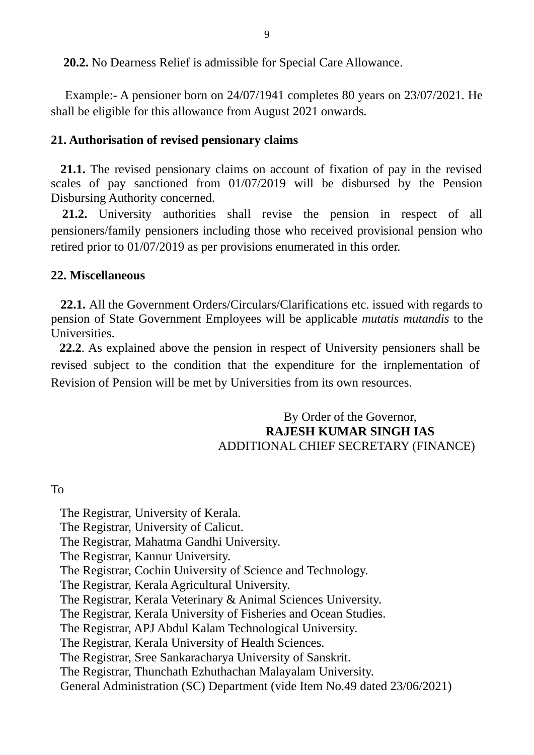**20.2.** No Dearness Relief is admissible for Special Care Allowance.

 Example:- A pensioner born on 24/07/1941 completes 80 years on 23/07/2021. He shall be eligible for this allowance from August 2021 onwards.

# **21. Authorisation of revised pensionary claims**

 **21.1.** The revised pensionary claims on account of fixation of pay in the revised scales of pay sanctioned from 01/07/2019 will be disbursed by the Pension Disbursing Authority concerned.

 **21.2.** University authorities shall revise the pension in respect of all pensioners/family pensioners including those who received provisional pension who retired prior to 01/07/2019 as per provisions enumerated in this order.

## **22. Miscellaneous**

 **22.1.** All the Government Orders/Circulars/Clarifications etc. issued with regards to pension of State Government Employees will be applicable *mutatis mutandis* to the Universities.

 **22.2**. As explained above the pension in respect of University pensioners shall be revised subject to the condition that the expenditure for the irnplementation of Revision of Pension will be met by Universities from its own resources.

## By Order of the Governor,  **RAJESH KUMAR SINGH IAS** ADDITIONAL CHIEF SECRETARY (FINANCE)

# To

 The Registrar, University of Kerala. The Registrar, University of Calicut. The Registrar, Mahatma Gandhi University. The Registrar, Kannur University. The Registrar, Cochin University of Science and Technology. The Registrar, Kerala Agricultural University. The Registrar, Kerala Veterinary & Animal Sciences University. The Registrar, Kerala University of Fisheries and Ocean Studies. The Registrar, APJ Abdul Kalam Technological University. The Registrar, Kerala University of Health Sciences. The Registrar, Sree Sankaracharya University of Sanskrit. The Registrar, Thunchath Ezhuthachan Malayalam University.

General Administration (SC) Department (vide Item No.49 dated 23/06/2021)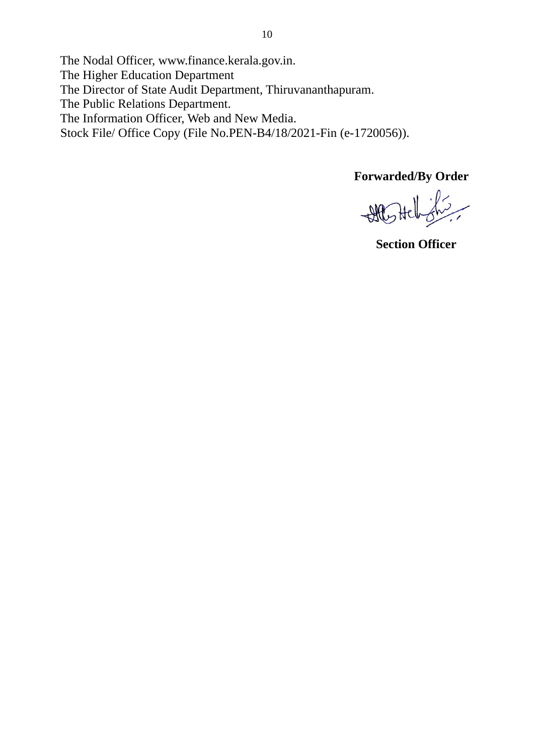The Nodal Officer, www.finance.kerala.gov.in.

The Higher Education Department

The Director of State Audit Department, Thiruvananthapuram.

The Public Relations Department.

The Information Officer, Web and New Media.

Stock File/ Office Copy (File No.PEN-B4/18/2021-Fin (e-1720056)).

 **Forwarded/By Order** 

All Helishs

 **Section Officer**